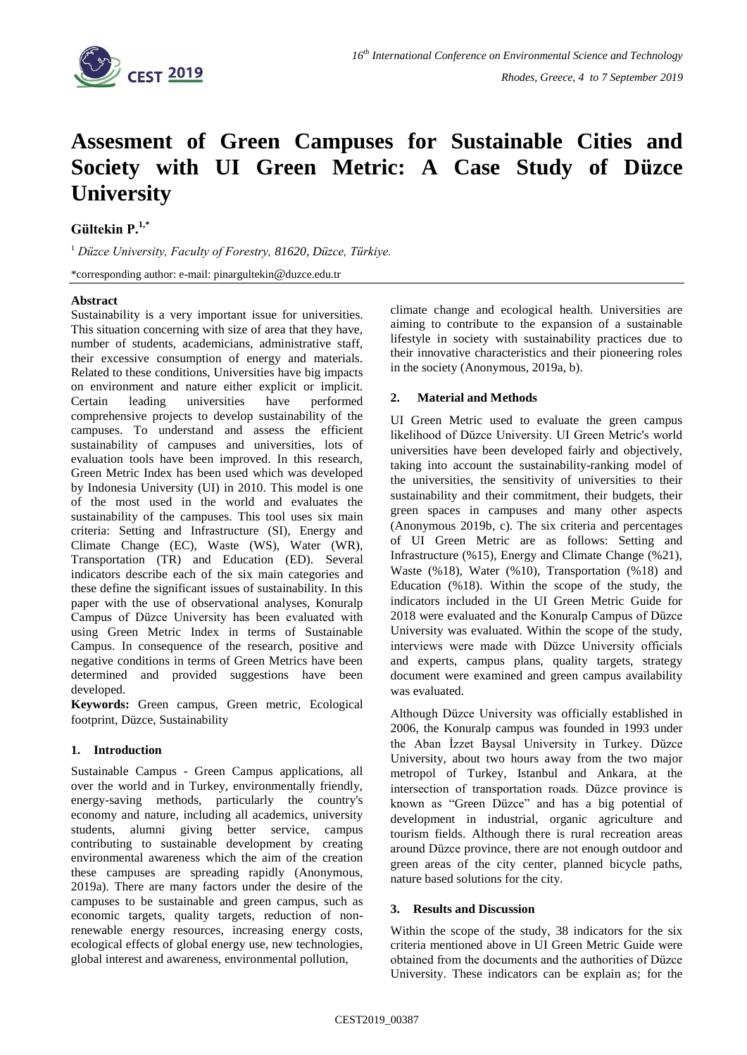

# **Assesment of Green Campuses for Sustainable Cities and Society with UI Green Metric: A Case Study of Düzce University**

## **Gültekin P.1,\***

<sup>1</sup> *Düzce University, Faculty of Forestry, 81620, Düzce, Türkiye.* 

\*corresponding author: e-mail: pinargultekin*@*duzce.edu.tr

### **Abstract**

Sustainability is a very important issue for universities. This situation concerning with size of area that they have, number of students, academicians, administrative staff, their excessive consumption of energy and materials. Related to these conditions, Universities have big impacts on environment and nature either explicit or implicit. Certain leading universities have performed comprehensive projects to develop sustainability of the campuses. To understand and assess the efficient sustainability of campuses and universities, lots of evaluation tools have been improved. In this research, Green Metric Index has been used which was developed by Indonesia University (UI) in 2010. This model is one of the most used in the world and evaluates the sustainability of the campuses. This tool uses six main criteria: Setting and Infrastructure (SI), Energy and Climate Change (EC), Waste (WS), Water (WR), Transportation (TR) and Education (ED). Several indicators describe each of the six main categories and these define the significant issues of sustainability. In this paper with the use of observational analyses, Konuralp Campus of Düzce University has been evaluated with using Green Metric Index in terms of Sustainable Campus. In consequence of the research, positive and negative conditions in terms of Green Metrics have been determined and provided suggestions have been developed.

**Keywords:** Green campus, Green metric, Ecological footprint, Düzce, Sustainability

### **1. Introduction**

Sustainable Campus - Green Campus applications, all over the world and in Turkey, environmentally friendly, energy-saving methods, particularly the country's economy and nature, including all academics, university students, alumni giving better service, campus contributing to sustainable development by creating environmental awareness which the aim of the creation these campuses are spreading rapidly (Anonymous, 2019a). There are many factors under the desire of the campuses to be sustainable and green campus, such as economic targets, quality targets, reduction of nonrenewable energy resources, increasing energy costs, ecological effects of global energy use, new technologies, global interest and awareness, environmental pollution,

climate change and ecological health. Universities are aiming to contribute to the expansion of a sustainable lifestyle in society with sustainability practices due to their innovative characteristics and their pioneering roles in the society (Anonymous, 2019a, b).

## **2. Material and Methods**

UI Green Metric used to evaluate the green campus likelihood of Düzce University. UI Green Metric's world universities have been developed fairly and objectively, taking into account the sustainability-ranking model of the universities, the sensitivity of universities to their sustainability and their commitment, their budgets, their green spaces in campuses and many other aspects (Anonymous 2019b, c). The six criteria and percentages of UI Green Metric are as follows: Setting and Infrastructure (%15), Energy and Climate Change (%21), Waste (%18), Water (%10), Transportation (%18) and Education (%18). Within the scope of the study, the indicators included in the UI Green Metric Guide for 2018 were evaluated and the Konuralp Campus of Düzce University was evaluated. Within the scope of the study, interviews were made with Düzce University officials and experts, campus plans, quality targets, strategy document were examined and green campus availability was evaluated.

Although Düzce University was officially established in 2006, the Konuralp campus was founded in 1993 under the Aban İzzet Baysal University in Turkey. Düzce University, about two hours away from the two major metropol of Turkey, Istanbul and Ankara, at the intersection of transportation roads. Düzce province is known as "Green Düzce" and has a big potential of development in industrial, organic agriculture and tourism fields. Although there is rural recreation areas around Düzce province, there are not enough outdoor and green areas of the city center, planned bicycle paths, nature based solutions for the city.

### **3. Results and Discussion**

Within the scope of the study, 38 indicators for the six criteria mentioned above in UI Green Metric Guide were obtained from the documents and the authorities of Düzce University. These indicators can be explain as; for the